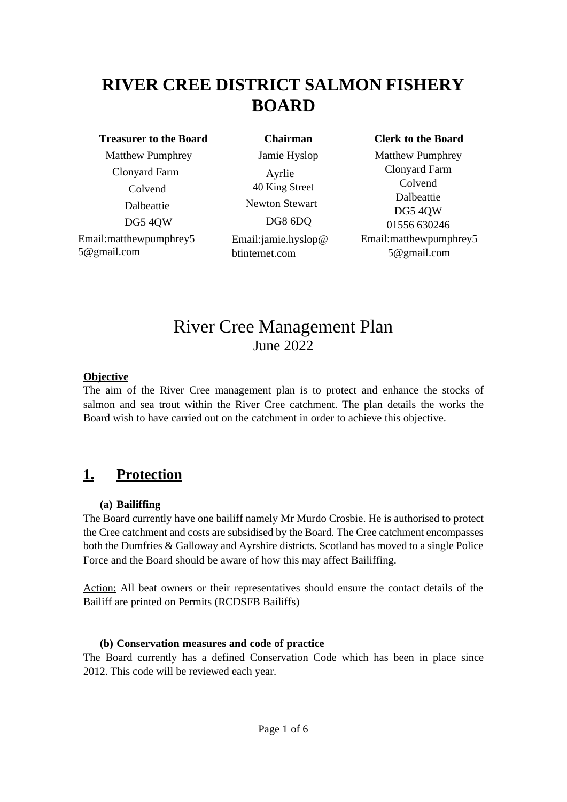# **RIVER CREE DISTRICT SALMON FISHERY BOARD**

#### **Treasurer to the Board**

 Matthew Pumphrey Clonyard Farm Colvend Dalbeattie DG5 4QW Email:matthewpumphrey5 5@gmail.com

**Chairman** Jamie Hyslop Ayrlie 40 King Street Newton Stewart DG8 6DQ Email:jamie.hyslop@ btinternet.com

#### **Clerk to the Board**

Matthew Pumphrey Clonyard Farm Colvend Dalbeattie DG5 4QW 01556 630246 Email:matthewpumphrey5 5@gmail.com

## River Cree Management Plan June 2022

### **Objective**

The aim of the River Cree management plan is to protect and enhance the stocks of salmon and sea trout within the River Cree catchment. The plan details the works the Board wish to have carried out on the catchment in order to achieve this objective.

## **1. Protection**

### **(a) Bailiffing**

The Board currently have one bailiff namely Mr Murdo Crosbie. He is authorised to protect the Cree catchment and costs are subsidised by the Board. The Cree catchment encompasses both the Dumfries & Galloway and Ayrshire districts. Scotland has moved to a single Police Force and the Board should be aware of how this may affect Bailiffing.

Action: All beat owners or their representatives should ensure the contact details of the Bailiff are printed on Permits (RCDSFB Bailiffs)

### **(b) Conservation measures and code of practice**

The Board currently has a defined Conservation Code which has been in place since 2012. This code will be reviewed each year.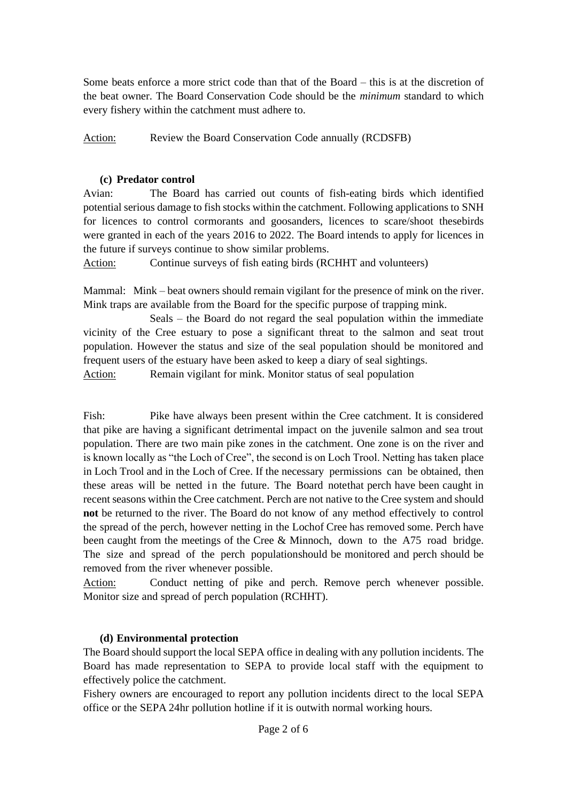Some beats enforce a more strict code than that of the Board – this is at the discretion of the beat owner. The Board Conservation Code should be the *minimum* standard to which every fishery within the catchment must adhere to.

Action: Review the Board Conservation Code annually (RCDSFB)

### **(c) Predator control**

Avian: The Board has carried out counts of fish-eating birds which identified potential serious damage to fish stocks within the catchment. Following applications to SNH for licences to control cormorants and goosanders, licences to scare/shoot thesebirds were granted in each of the years 2016 to 2022. The Board intends to apply for licences in the future if surveys continue to show similar problems.

Action: Continue surveys of fish eating birds (RCHHT and volunteers)

Mammal: Mink – beat owners should remain vigilant for the presence of mink on the river. Mink traps are available from the Board for the specific purpose of trapping mink.

Seals – the Board do not regard the seal population within the immediate vicinity of the Cree estuary to pose a significant threat to the salmon and seat trout population. However the status and size of the seal population should be monitored and frequent users of the estuary have been asked to keep a diary of seal sightings.

Action: Remain vigilant for mink. Monitor status of seal population

Fish: Pike have always been present within the Cree catchment. It is considered that pike are having a significant detrimental impact on the juvenile salmon and sea trout population. There are two main pike zones in the catchment. One zone is on the river and is known locally as "the Loch of Cree", the second is on Loch Trool. Netting has taken place in Loch Trool and in the Loch of Cree. If the necessary permissions can be obtained, then these areas will be netted in the future. The Board note that perch have been caught in recent seasons within the Cree catchment. Perch are not native to the Cree system and should **not** be returned to the river. The Board do not know of any method effectively to control the spread of the perch, however netting in the Lochof Cree has removed some. Perch have been caught from the meetings of the Cree & Minnoch, down to the A75 road bridge. The size and spread of the perch populationshould be monitored and perch should be removed from the river whenever possible.

Action: Conduct netting of pike and perch. Remove perch whenever possible. Monitor size and spread of perch population (RCHHT).

### **(d) Environmental protection**

The Board should support the local SEPA office in dealing with any pollution incidents. The Board has made representation to SEPA to provide local staff with the equipment to effectively police the catchment.

Fishery owners are encouraged to report any pollution incidents direct to the local SEPA office or the SEPA 24hr pollution hotline if it is outwith normal working hours.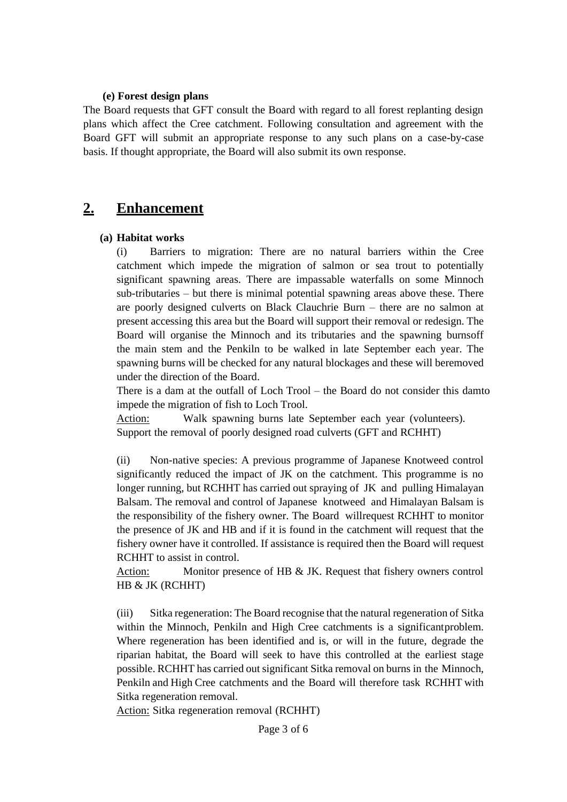#### **(e) Forest design plans**

The Board requests that GFT consult the Board with regard to all forest replanting design plans which affect the Cree catchment. Following consultation and agreement with the Board GFT will submit an appropriate response to any such plans on a case-by-case basis. If thought appropriate, the Board will also submit its own response.

### **2. Enhancement**

### **(a) Habitat works**

(i) Barriers to migration: There are no natural barriers within the Cree catchment which impede the migration of salmon or sea trout to potentially significant spawning areas. There are impassable waterfalls on some Minnoch sub-tributaries – but there is minimal potential spawning areas above these. There are poorly designed culverts on Black Clauchrie Burn – there are no salmon at present accessing this area but the Board will support their removal or redesign. The Board will organise the Minnoch and its tributaries and the spawning burnsoff the main stem and the Penkiln to be walked in late September each year. The spawning burns will be checked for any natural blockages and these will beremoved under the direction of the Board.

There is a dam at the outfall of Loch Trool – the Board do not consider this damto impede the migration of fish to Loch Trool.

Action: Walk spawning burns late September each year (volunteers). Support the removal of poorly designed road culverts (GFT and RCHHT)

(ii) Non-native species: A previous programme of Japanese Knotweed control significantly reduced the impact of JK on the catchment. This programme is no longer running, but RCHHT has carried out spraying of JK and pulling Himalayan Balsam. The removal and control of Japanese knotweed and Himalayan Balsam is the responsibility of the fishery owner. The Board willrequest RCHHT to monitor the presence of JK and HB and if it is found in the catchment will request that the fishery owner have it controlled. If assistance is required then the Board will request RCHHT to assist in control.

Action: Monitor presence of HB & JK. Request that fishery owners control HB & JK (RCHHT)

(iii) Sitka regeneration: The Board recognise that the natural regeneration of Sitka within the Minnoch, Penkiln and High Cree catchments is a significantproblem. Where regeneration has been identified and is, or will in the future, degrade the riparian habitat, the Board will seek to have this controlled at the earliest stage possible. RCHHT has carried out significant Sitka removal on burns in the Minnoch, Penkiln and High Cree catchments and the Board will therefore task RCHHT with Sitka regeneration removal.

Action: Sitka regeneration removal (RCHHT)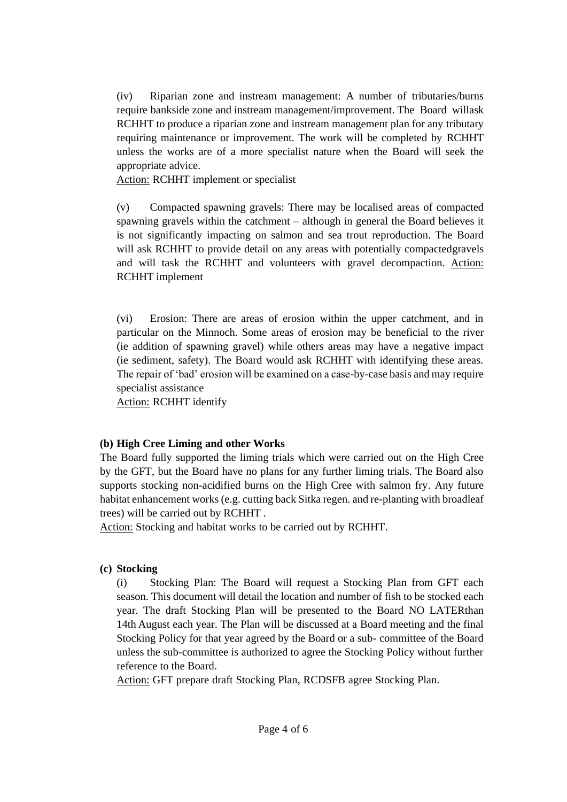(iv) Riparian zone and instream management: A number of tributaries/burns require bankside zone and instream management/improvement. The Board willask RCHHT to produce a riparian zone and instream management plan for any tributary requiring maintenance or improvement. The work will be completed by RCHHT unless the works are of a more specialist nature when the Board will seek the appropriate advice.

Action: RCHHT implement or specialist

(v) Compacted spawning gravels: There may be localised areas of compacted spawning gravels within the catchment – although in general the Board believes it is not significantly impacting on salmon and sea trout reproduction. The Board will ask RCHHT to provide detail on any areas with potentially compactedgravels and will task the RCHHT and volunteers with gravel decompaction. Action: RCHHT implement

(vi) Erosion: There are areas of erosion within the upper catchment, and in particular on the Minnoch. Some areas of erosion may be beneficial to the river (ie addition of spawning gravel) while others areas may have a negative impact (ie sediment, safety). The Board would ask RCHHT with identifying these areas. The repair of 'bad' erosion will be examined on a case-by-case basis and may require specialist assistance

Action: RCHHT identify

### **(b) High Cree Liming and other Works**

The Board fully supported the liming trials which were carried out on the High Cree by the GFT, but the Board have no plans for any further liming trials. The Board also supports stocking non-acidified burns on the High Cree with salmon fry. Any future habitat enhancement works (e.g. cutting back Sitka regen. and re-planting with broadleaf trees) will be carried out by RCHHT .

Action: Stocking and habitat works to be carried out by RCHHT.

### **(c) Stocking**

(i) Stocking Plan: The Board will request a Stocking Plan from GFT each season. This document will detail the location and number of fish to be stocked each year. The draft Stocking Plan will be presented to the Board NO LATERthan 14th August each year. The Plan will be discussed at a Board meeting and the final Stocking Policy for that year agreed by the Board or a sub- committee of the Board unless the sub-committee is authorized to agree the Stocking Policy without further reference to the Board.

Action: GFT prepare draft Stocking Plan, RCDSFB agree Stocking Plan.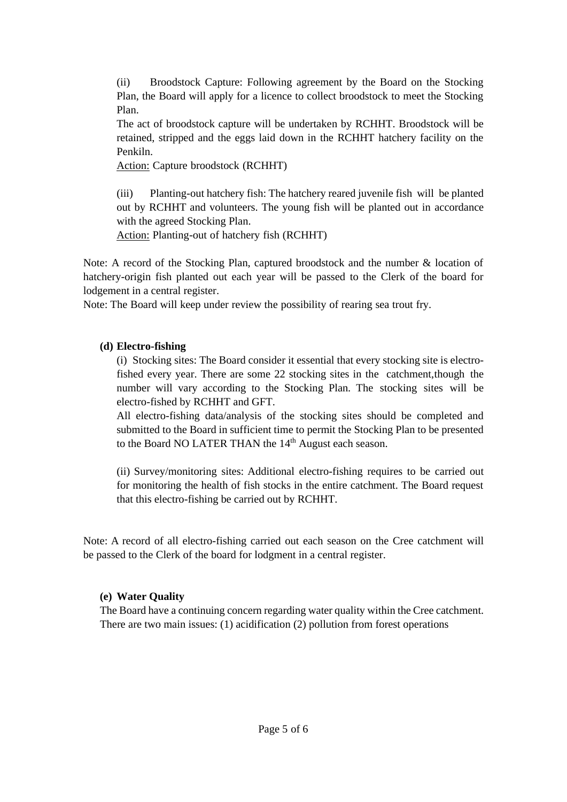(ii) Broodstock Capture: Following agreement by the Board on the Stocking Plan, the Board will apply for a licence to collect broodstock to meet the Stocking Plan.

The act of broodstock capture will be undertaken by RCHHT. Broodstock will be retained, stripped and the eggs laid down in the RCHHT hatchery facility on the Penkiln.

Action: Capture broodstock (RCHHT)

(iii) Planting-out hatchery fish: The hatchery reared juvenile fish will be planted out by RCHHT and volunteers. The young fish will be planted out in accordance with the agreed Stocking Plan.

Action: Planting-out of hatchery fish (RCHHT)

Note: A record of the Stocking Plan, captured broodstock and the number & location of hatchery-origin fish planted out each year will be passed to the Clerk of the board for lodgement in a central register.

Note: The Board will keep under review the possibility of rearing sea trout fry.

### **(d) Electro-fishing**

(i) Stocking sites: The Board consider it essential that every stocking site is electrofished every year. There are some 22 stocking sites in the catchment,though the number will vary according to the Stocking Plan. The stocking sites will be electro-fished by RCHHT and GFT.

All electro-fishing data/analysis of the stocking sites should be completed and submitted to the Board in sufficient time to permit the Stocking Plan to be presented to the Board NO LATER THAN the 14<sup>th</sup> August each season.

(ii) Survey/monitoring sites: Additional electro-fishing requires to be carried out for monitoring the health of fish stocks in the entire catchment. The Board request that this electro-fishing be carried out by RCHHT.

Note: A record of all electro-fishing carried out each season on the Cree catchment will be passed to the Clerk of the board for lodgment in a central register.

### **(e) Water Quality**

The Board have a continuing concern regarding water quality within the Cree catchment. There are two main issues: (1) acidification (2) pollution from forest operations